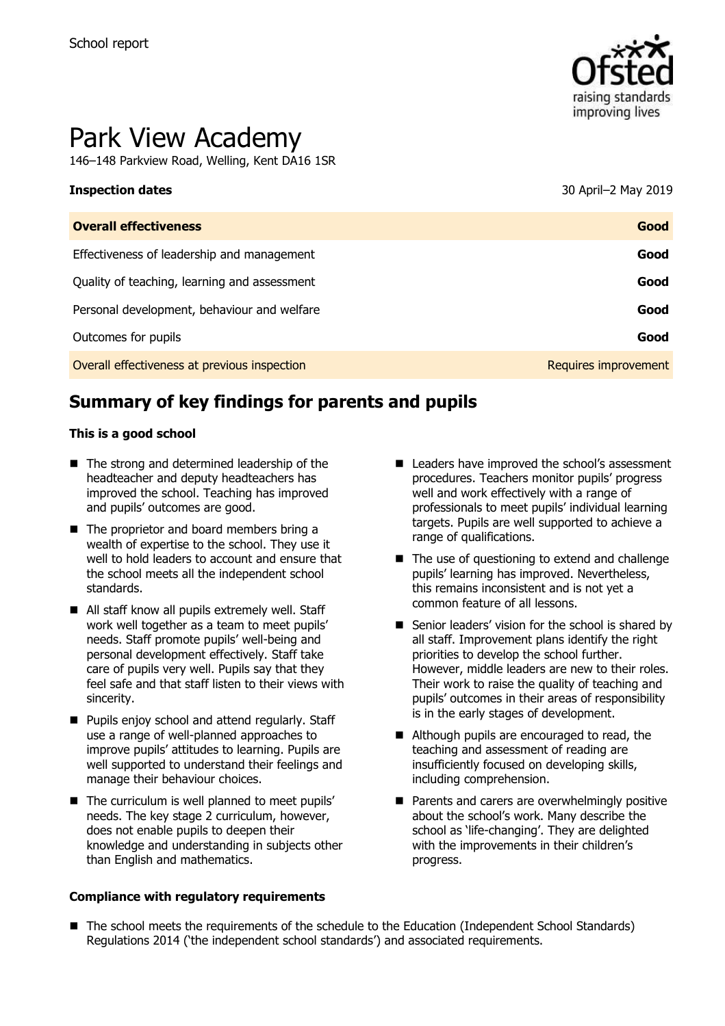

# Park View Academy

146–148 Parkview Road, Welling, Kent DA16 1SR

| <b>Inspection dates</b> | 30 April-2 May 2019 |
|-------------------------|---------------------|

| <b>Overall effectiveness</b>                 | Good                 |
|----------------------------------------------|----------------------|
| Effectiveness of leadership and management   | Good                 |
| Quality of teaching, learning and assessment | Good                 |
| Personal development, behaviour and welfare  | Good                 |
| Outcomes for pupils                          | Good                 |
| Overall effectiveness at previous inspection | Requires improvement |

# **Summary of key findings for parents and pupils**

#### **This is a good school**

- The strong and determined leadership of the headteacher and deputy headteachers has improved the school. Teaching has improved and pupils' outcomes are good.
- The proprietor and board members bring a wealth of expertise to the school. They use it well to hold leaders to account and ensure that the school meets all the independent school standards.
- All staff know all pupils extremely well. Staff work well together as a team to meet pupils' needs. Staff promote pupils' well-being and personal development effectively. Staff take care of pupils very well. Pupils say that they feel safe and that staff listen to their views with sincerity.
- **Pupils enjoy school and attend regularly. Staff** use a range of well-planned approaches to improve pupils' attitudes to learning. Pupils are well supported to understand their feelings and manage their behaviour choices.
- The curriculum is well planned to meet pupils' needs. The key stage 2 curriculum, however, does not enable pupils to deepen their knowledge and understanding in subjects other than English and mathematics.

#### **Compliance with regulatory requirements**

- Leaders have improved the school's assessment procedures. Teachers monitor pupils' progress well and work effectively with a range of professionals to meet pupils' individual learning targets. Pupils are well supported to achieve a range of qualifications.
- The use of questioning to extend and challenge pupils' learning has improved. Nevertheless, this remains inconsistent and is not yet a common feature of all lessons.
- Senior leaders' vision for the school is shared by all staff. Improvement plans identify the right priorities to develop the school further. However, middle leaders are new to their roles. Their work to raise the quality of teaching and pupils' outcomes in their areas of responsibility is in the early stages of development.
- Although pupils are encouraged to read, the teaching and assessment of reading are insufficiently focused on developing skills, including comprehension.
- **Parents and carers are overwhelmingly positive** about the school's work. Many describe the school as 'life-changing'. They are delighted with the improvements in their children's progress.
- The school meets the requirements of the schedule to the Education (Independent School Standards) Regulations 2014 ('the independent school standards') and associated requirements.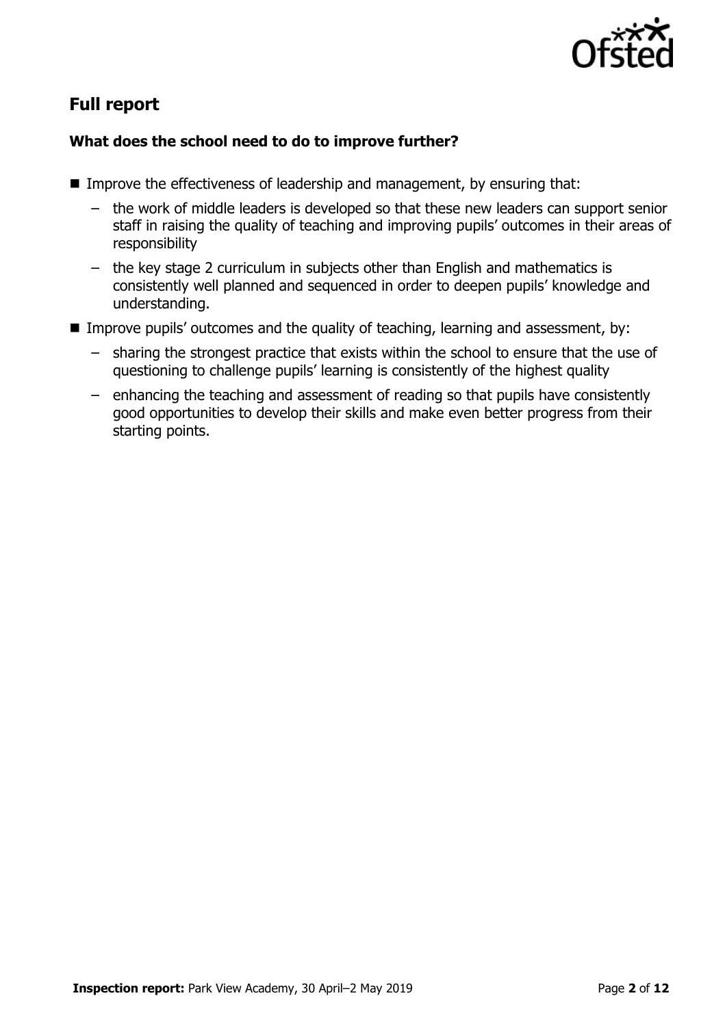

## **Full report**

## **What does the school need to do to improve further?**

- Improve the effectiveness of leadership and management, by ensuring that:
	- the work of middle leaders is developed so that these new leaders can support senior staff in raising the quality of teaching and improving pupils' outcomes in their areas of responsibility
	- the key stage 2 curriculum in subjects other than English and mathematics is consistently well planned and sequenced in order to deepen pupils' knowledge and understanding.
- **IMPROVE PUPILS' outcomes and the quality of teaching, learning and assessment, by:** 
	- sharing the strongest practice that exists within the school to ensure that the use of questioning to challenge pupils' learning is consistently of the highest quality
	- enhancing the teaching and assessment of reading so that pupils have consistently good opportunities to develop their skills and make even better progress from their starting points.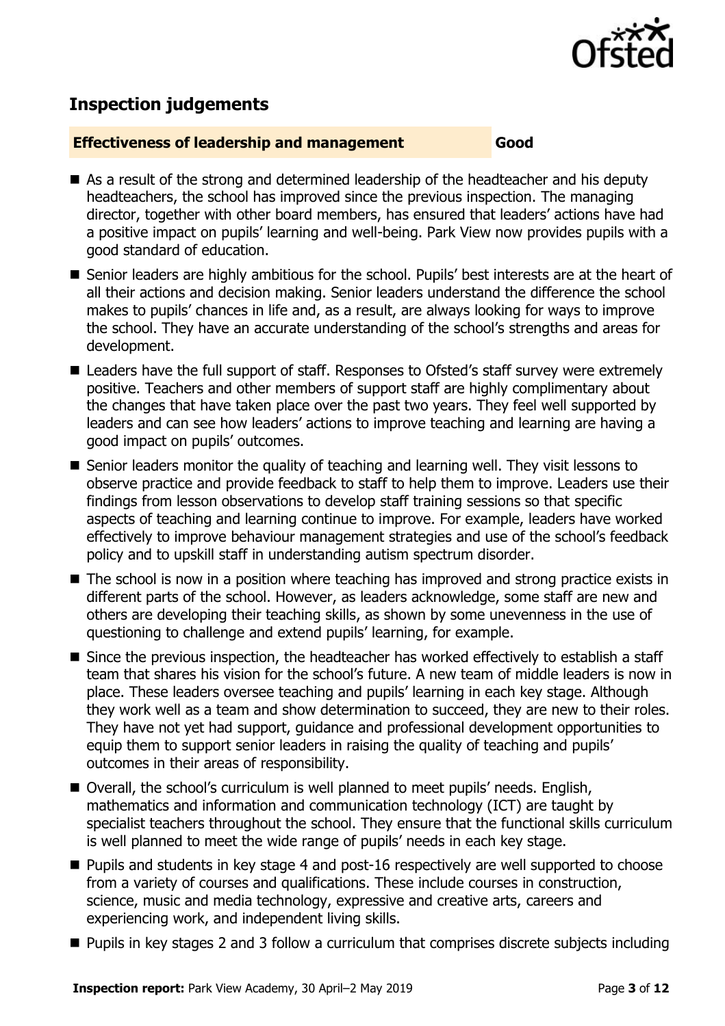

## **Inspection judgements**

#### **Effectiveness of leadership and management Good**

- As a result of the strong and determined leadership of the headteacher and his deputy headteachers, the school has improved since the previous inspection. The managing director, together with other board members, has ensured that leaders' actions have had a positive impact on pupils' learning and well-being. Park View now provides pupils with a good standard of education.
- Senior leaders are highly ambitious for the school. Pupils' best interests are at the heart of all their actions and decision making. Senior leaders understand the difference the school makes to pupils' chances in life and, as a result, are always looking for ways to improve the school. They have an accurate understanding of the school's strengths and areas for development.
- Leaders have the full support of staff. Responses to Ofsted's staff survey were extremely positive. Teachers and other members of support staff are highly complimentary about the changes that have taken place over the past two years. They feel well supported by leaders and can see how leaders' actions to improve teaching and learning are having a good impact on pupils' outcomes.
- Senior leaders monitor the quality of teaching and learning well. They visit lessons to observe practice and provide feedback to staff to help them to improve. Leaders use their findings from lesson observations to develop staff training sessions so that specific aspects of teaching and learning continue to improve. For example, leaders have worked effectively to improve behaviour management strategies and use of the school's feedback policy and to upskill staff in understanding autism spectrum disorder.
- The school is now in a position where teaching has improved and strong practice exists in different parts of the school. However, as leaders acknowledge, some staff are new and others are developing their teaching skills, as shown by some unevenness in the use of questioning to challenge and extend pupils' learning, for example.
- Since the previous inspection, the headteacher has worked effectively to establish a staff team that shares his vision for the school's future. A new team of middle leaders is now in place. These leaders oversee teaching and pupils' learning in each key stage. Although they work well as a team and show determination to succeed, they are new to their roles. They have not yet had support, guidance and professional development opportunities to equip them to support senior leaders in raising the quality of teaching and pupils' outcomes in their areas of responsibility.
- Overall, the school's curriculum is well planned to meet pupils' needs. English, mathematics and information and communication technology (ICT) are taught by specialist teachers throughout the school. They ensure that the functional skills curriculum is well planned to meet the wide range of pupils' needs in each key stage.
- **Pupils and students in key stage 4 and post-16 respectively are well supported to choose** from a variety of courses and qualifications. These include courses in construction, science, music and media technology, expressive and creative arts, careers and experiencing work, and independent living skills.
- Pupils in key stages 2 and 3 follow a curriculum that comprises discrete subjects including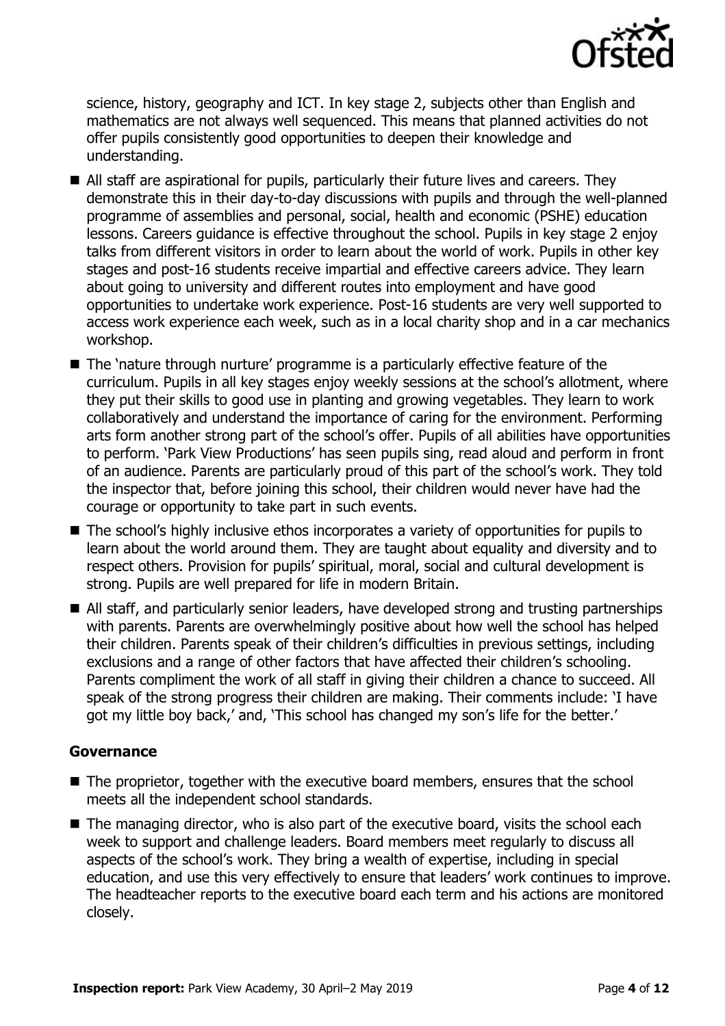

science, history, geography and ICT. In key stage 2, subjects other than English and mathematics are not always well sequenced. This means that planned activities do not offer pupils consistently good opportunities to deepen their knowledge and understanding.

- All staff are aspirational for pupils, particularly their future lives and careers. They demonstrate this in their day-to-day discussions with pupils and through the well-planned programme of assemblies and personal, social, health and economic (PSHE) education lessons. Careers guidance is effective throughout the school. Pupils in key stage 2 enjoy talks from different visitors in order to learn about the world of work. Pupils in other key stages and post-16 students receive impartial and effective careers advice. They learn about going to university and different routes into employment and have good opportunities to undertake work experience. Post-16 students are very well supported to access work experience each week, such as in a local charity shop and in a car mechanics workshop.
- The 'nature through nurture' programme is a particularly effective feature of the curriculum. Pupils in all key stages enjoy weekly sessions at the school's allotment, where they put their skills to good use in planting and growing vegetables. They learn to work collaboratively and understand the importance of caring for the environment. Performing arts form another strong part of the school's offer. Pupils of all abilities have opportunities to perform. 'Park View Productions' has seen pupils sing, read aloud and perform in front of an audience. Parents are particularly proud of this part of the school's work. They told the inspector that, before joining this school, their children would never have had the courage or opportunity to take part in such events.
- The school's highly inclusive ethos incorporates a variety of opportunities for pupils to learn about the world around them. They are taught about equality and diversity and to respect others. Provision for pupils' spiritual, moral, social and cultural development is strong. Pupils are well prepared for life in modern Britain.
- All staff, and particularly senior leaders, have developed strong and trusting partnerships with parents. Parents are overwhelmingly positive about how well the school has helped their children. Parents speak of their children's difficulties in previous settings, including exclusions and a range of other factors that have affected their children's schooling. Parents compliment the work of all staff in giving their children a chance to succeed. All speak of the strong progress their children are making. Their comments include: 'I have got my little boy back,' and, 'This school has changed my son's life for the better.'

#### **Governance**

- The proprietor, together with the executive board members, ensures that the school meets all the independent school standards.
- $\blacksquare$  The managing director, who is also part of the executive board, visits the school each week to support and challenge leaders. Board members meet regularly to discuss all aspects of the school's work. They bring a wealth of expertise, including in special education, and use this very effectively to ensure that leaders' work continues to improve. The headteacher reports to the executive board each term and his actions are monitored closely.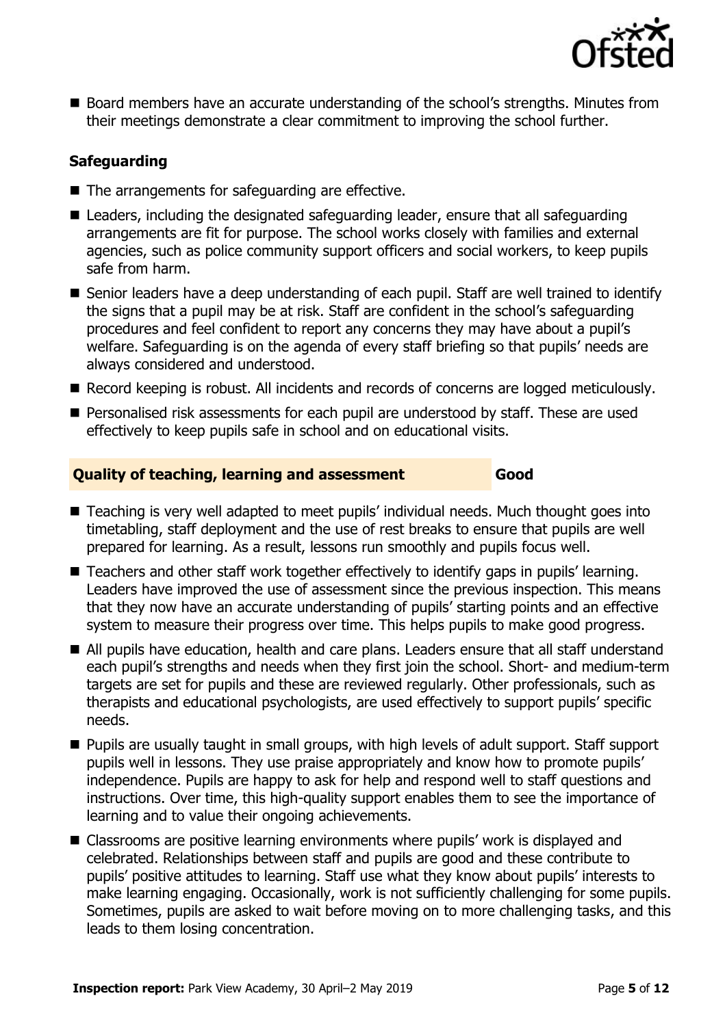

■ Board members have an accurate understanding of the school's strengths. Minutes from their meetings demonstrate a clear commitment to improving the school further.

### **Safeguarding**

- The arrangements for safeguarding are effective.
- Leaders, including the designated safeguarding leader, ensure that all safeguarding arrangements are fit for purpose. The school works closely with families and external agencies, such as police community support officers and social workers, to keep pupils safe from harm.
- Senior leaders have a deep understanding of each pupil. Staff are well trained to identify the signs that a pupil may be at risk. Staff are confident in the school's safeguarding procedures and feel confident to report any concerns they may have about a pupil's welfare. Safeguarding is on the agenda of every staff briefing so that pupils' needs are always considered and understood.
- Record keeping is robust. All incidents and records of concerns are logged meticulously.
- **Personalised risk assessments for each pupil are understood by staff. These are used** effectively to keep pupils safe in school and on educational visits.

#### **Quality of teaching, learning and assessment Good**

- Teaching is very well adapted to meet pupils' individual needs. Much thought goes into timetabling, staff deployment and the use of rest breaks to ensure that pupils are well prepared for learning. As a result, lessons run smoothly and pupils focus well.
- Teachers and other staff work together effectively to identify gaps in pupils' learning. Leaders have improved the use of assessment since the previous inspection. This means that they now have an accurate understanding of pupils' starting points and an effective system to measure their progress over time. This helps pupils to make good progress.
- All pupils have education, health and care plans. Leaders ensure that all staff understand each pupil's strengths and needs when they first join the school. Short- and medium-term targets are set for pupils and these are reviewed regularly. Other professionals, such as therapists and educational psychologists, are used effectively to support pupils' specific needs.
- Pupils are usually taught in small groups, with high levels of adult support. Staff support pupils well in lessons. They use praise appropriately and know how to promote pupils' independence. Pupils are happy to ask for help and respond well to staff questions and instructions. Over time, this high-quality support enables them to see the importance of learning and to value their ongoing achievements.
- Classrooms are positive learning environments where pupils' work is displayed and celebrated. Relationships between staff and pupils are good and these contribute to pupils' positive attitudes to learning. Staff use what they know about pupils' interests to make learning engaging. Occasionally, work is not sufficiently challenging for some pupils. Sometimes, pupils are asked to wait before moving on to more challenging tasks, and this leads to them losing concentration.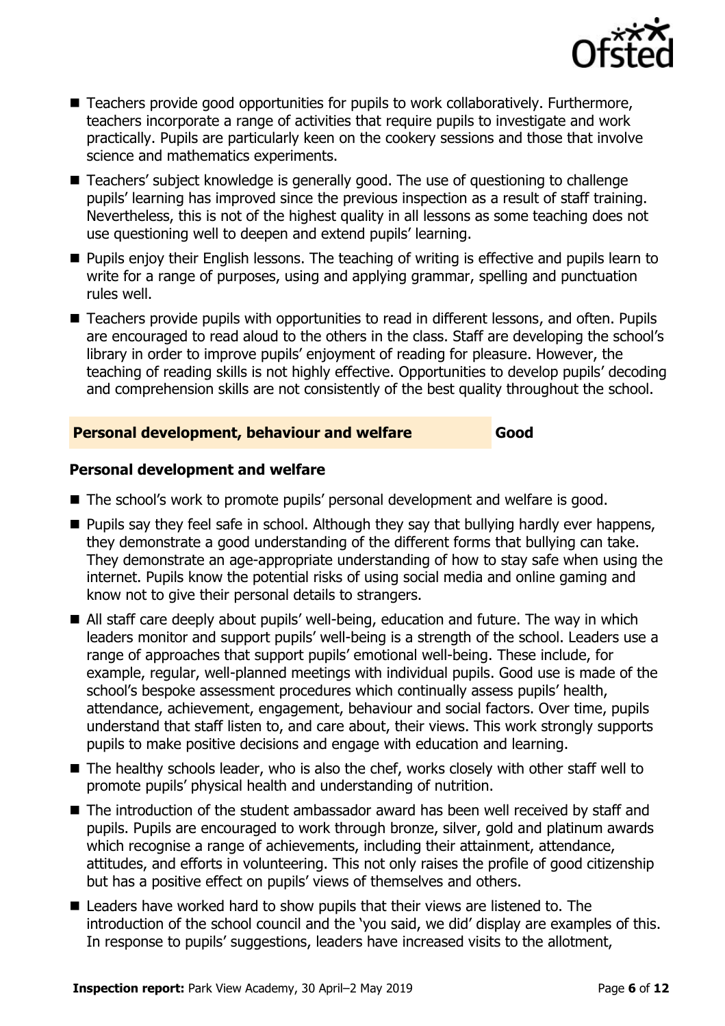

- Teachers provide good opportunities for pupils to work collaboratively. Furthermore, teachers incorporate a range of activities that require pupils to investigate and work practically. Pupils are particularly keen on the cookery sessions and those that involve science and mathematics experiments.
- Teachers' subject knowledge is generally good. The use of questioning to challenge pupils' learning has improved since the previous inspection as a result of staff training. Nevertheless, this is not of the highest quality in all lessons as some teaching does not use questioning well to deepen and extend pupils' learning.
- **Pupils enjoy their English lessons. The teaching of writing is effective and pupils learn to** write for a range of purposes, using and applying grammar, spelling and punctuation rules well.
- Teachers provide pupils with opportunities to read in different lessons, and often. Pupils are encouraged to read aloud to the others in the class. Staff are developing the school's library in order to improve pupils' enjoyment of reading for pleasure. However, the teaching of reading skills is not highly effective. Opportunities to develop pupils' decoding and comprehension skills are not consistently of the best quality throughout the school.

#### **Personal development, behaviour and welfare Good**

#### **Personal development and welfare**

- The school's work to promote pupils' personal development and welfare is good.
- **Pupils say they feel safe in school. Although they say that bullying hardly ever happens,** they demonstrate a good understanding of the different forms that bullying can take. They demonstrate an age-appropriate understanding of how to stay safe when using the internet. Pupils know the potential risks of using social media and online gaming and know not to give their personal details to strangers.
- All staff care deeply about pupils' well-being, education and future. The way in which leaders monitor and support pupils' well-being is a strength of the school. Leaders use a range of approaches that support pupils' emotional well-being. These include, for example, regular, well-planned meetings with individual pupils. Good use is made of the school's bespoke assessment procedures which continually assess pupils' health, attendance, achievement, engagement, behaviour and social factors. Over time, pupils understand that staff listen to, and care about, their views. This work strongly supports pupils to make positive decisions and engage with education and learning.
- The healthy schools leader, who is also the chef, works closely with other staff well to promote pupils' physical health and understanding of nutrition.
- The introduction of the student ambassador award has been well received by staff and pupils. Pupils are encouraged to work through bronze, silver, gold and platinum awards which recognise a range of achievements, including their attainment, attendance, attitudes, and efforts in volunteering. This not only raises the profile of good citizenship but has a positive effect on pupils' views of themselves and others.
- Leaders have worked hard to show pupils that their views are listened to. The introduction of the school council and the 'you said, we did' display are examples of this. In response to pupils' suggestions, leaders have increased visits to the allotment,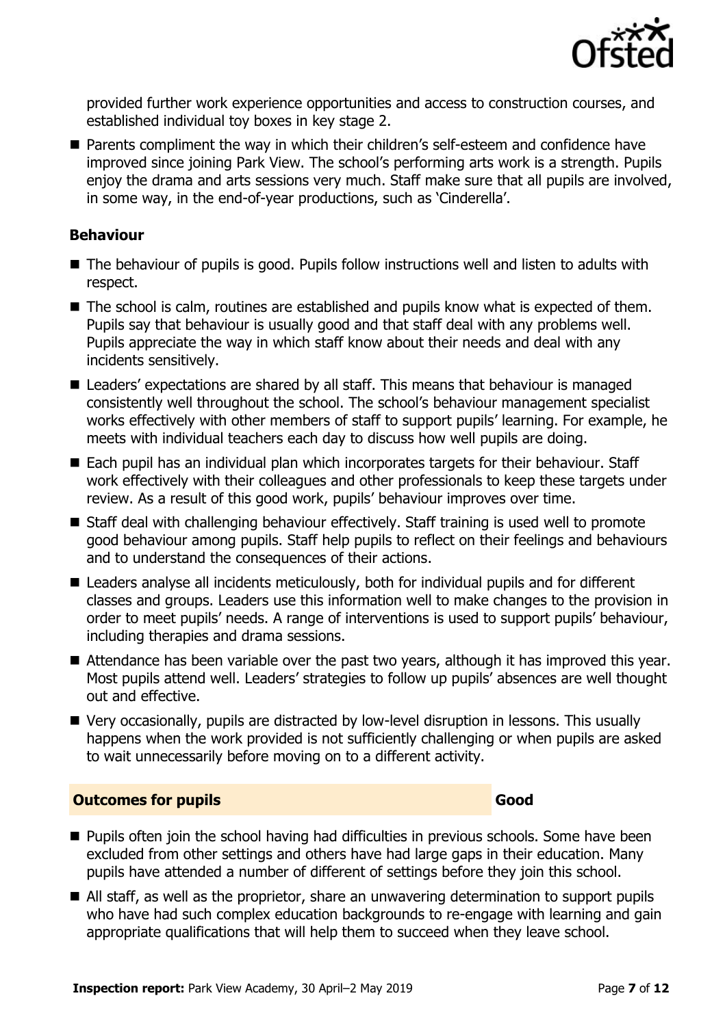

provided further work experience opportunities and access to construction courses, and established individual toy boxes in key stage 2.

**Parents compliment the way in which their children's self-esteem and confidence have** improved since joining Park View. The school's performing arts work is a strength. Pupils enjoy the drama and arts sessions very much. Staff make sure that all pupils are involved, in some way, in the end-of-year productions, such as 'Cinderella'.

### **Behaviour**

- The behaviour of pupils is good. Pupils follow instructions well and listen to adults with respect.
- The school is calm, routines are established and pupils know what is expected of them. Pupils say that behaviour is usually good and that staff deal with any problems well. Pupils appreciate the way in which staff know about their needs and deal with any incidents sensitively.
- Leaders' expectations are shared by all staff. This means that behaviour is managed consistently well throughout the school. The school's behaviour management specialist works effectively with other members of staff to support pupils' learning. For example, he meets with individual teachers each day to discuss how well pupils are doing.
- Each pupil has an individual plan which incorporates targets for their behaviour. Staff work effectively with their colleagues and other professionals to keep these targets under review. As a result of this good work, pupils' behaviour improves over time.
- Staff deal with challenging behaviour effectively. Staff training is used well to promote good behaviour among pupils. Staff help pupils to reflect on their feelings and behaviours and to understand the consequences of their actions.
- Leaders analyse all incidents meticulously, both for individual pupils and for different classes and groups. Leaders use this information well to make changes to the provision in order to meet pupils' needs. A range of interventions is used to support pupils' behaviour, including therapies and drama sessions.
- Attendance has been variable over the past two years, although it has improved this year. Most pupils attend well. Leaders' strategies to follow up pupils' absences are well thought out and effective.
- Very occasionally, pupils are distracted by low-level disruption in lessons. This usually happens when the work provided is not sufficiently challenging or when pupils are asked to wait unnecessarily before moving on to a different activity.

#### **Outcomes for pupils Good**

- **Pupils often join the school having had difficulties in previous schools. Some have been** excluded from other settings and others have had large gaps in their education. Many pupils have attended a number of different of settings before they join this school.
- All staff, as well as the proprietor, share an unwavering determination to support pupils who have had such complex education backgrounds to re-engage with learning and gain appropriate qualifications that will help them to succeed when they leave school.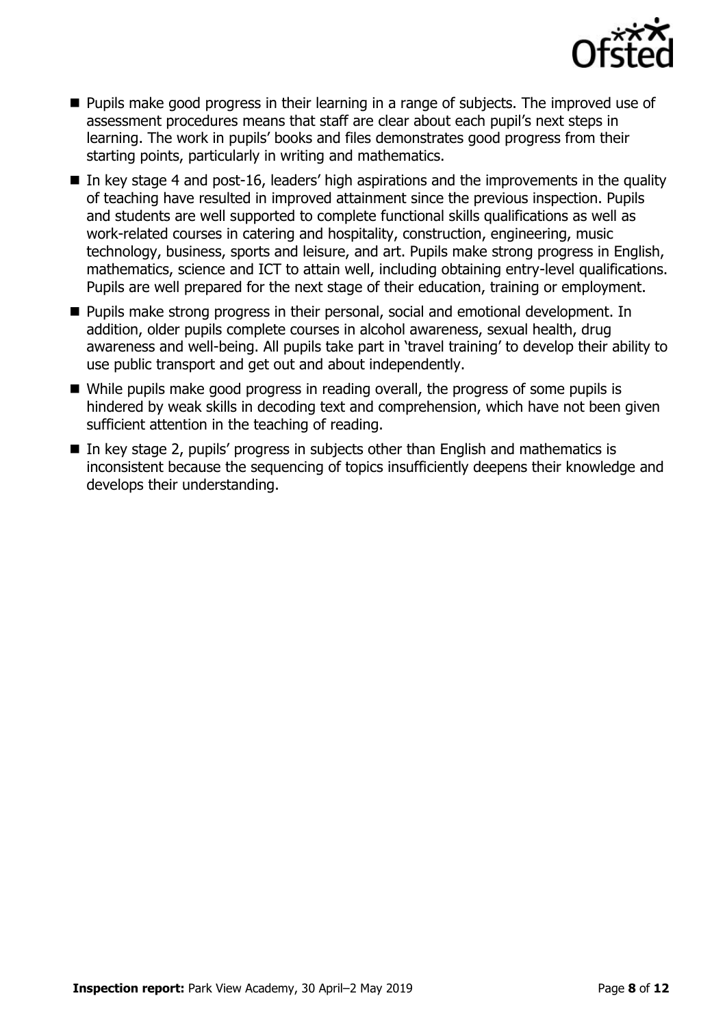

- **Pupils make good progress in their learning in a range of subjects. The improved use of** assessment procedures means that staff are clear about each pupil's next steps in learning. The work in pupils' books and files demonstrates good progress from their starting points, particularly in writing and mathematics.
- In key stage 4 and post-16, leaders' high aspirations and the improvements in the quality of teaching have resulted in improved attainment since the previous inspection. Pupils and students are well supported to complete functional skills qualifications as well as work-related courses in catering and hospitality, construction, engineering, music technology, business, sports and leisure, and art. Pupils make strong progress in English, mathematics, science and ICT to attain well, including obtaining entry-level qualifications. Pupils are well prepared for the next stage of their education, training or employment.
- **Pupils make strong progress in their personal, social and emotional development. In** addition, older pupils complete courses in alcohol awareness, sexual health, drug awareness and well-being. All pupils take part in 'travel training' to develop their ability to use public transport and get out and about independently.
- While pupils make good progress in reading overall, the progress of some pupils is hindered by weak skills in decoding text and comprehension, which have not been given sufficient attention in the teaching of reading.
- In key stage 2, pupils' progress in subjects other than English and mathematics is inconsistent because the sequencing of topics insufficiently deepens their knowledge and develops their understanding.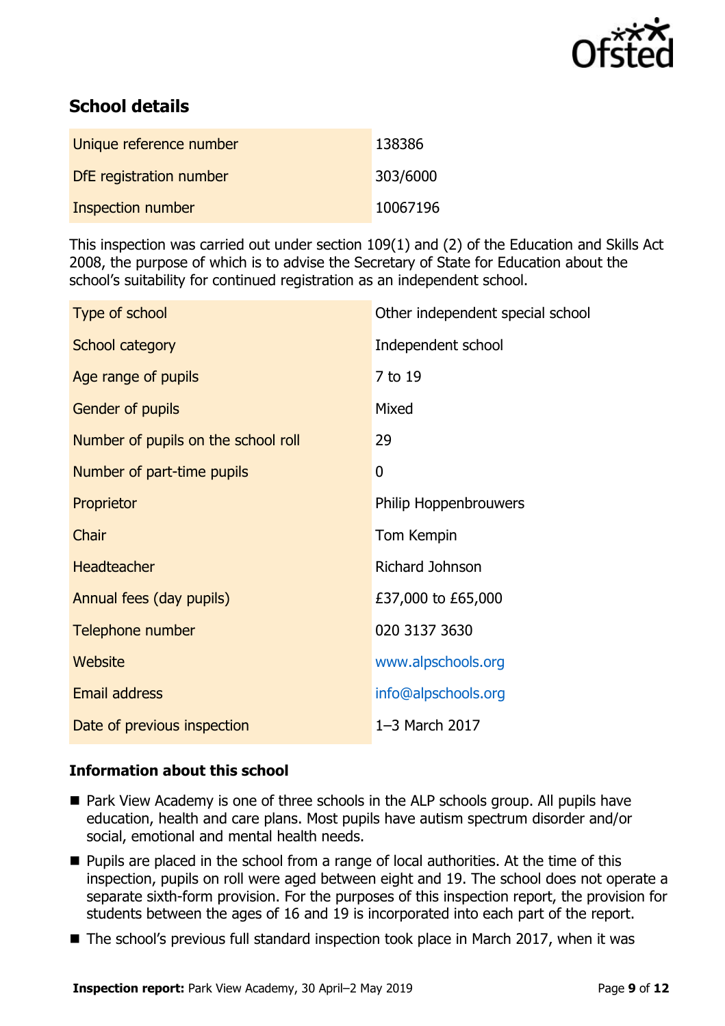

## **School details**

| Unique reference number | 138386   |
|-------------------------|----------|
| DfE registration number | 303/6000 |
| Inspection number       | 10067196 |

This inspection was carried out under section 109(1) and (2) of the Education and Skills Act 2008, the purpose of which is to advise the Secretary of State for Education about the school's suitability for continued registration as an independent school.

| Type of school                      | Other independent special school |
|-------------------------------------|----------------------------------|
| School category                     | Independent school               |
| Age range of pupils                 | 7 to 19                          |
| Gender of pupils                    | Mixed                            |
| Number of pupils on the school roll | 29                               |
| Number of part-time pupils          | 0                                |
| Proprietor                          | Philip Hoppenbrouwers            |
| Chair                               | Tom Kempin                       |
| <b>Headteacher</b>                  | <b>Richard Johnson</b>           |
| Annual fees (day pupils)            | £37,000 to £65,000               |
| Telephone number                    | 020 3137 3630                    |
| Website                             | www.alpschools.org               |
| <b>Email address</b>                | info@alpschools.org              |
| Date of previous inspection         | 1-3 March 2017                   |

#### **Information about this school**

- Park View Academy is one of three schools in the ALP schools group. All pupils have education, health and care plans. Most pupils have autism spectrum disorder and/or social, emotional and mental health needs.
- **Pupils are placed in the school from a range of local authorities. At the time of this** inspection, pupils on roll were aged between eight and 19. The school does not operate a separate sixth-form provision. For the purposes of this inspection report, the provision for students between the ages of 16 and 19 is incorporated into each part of the report.
- The school's previous full standard inspection took place in March 2017, when it was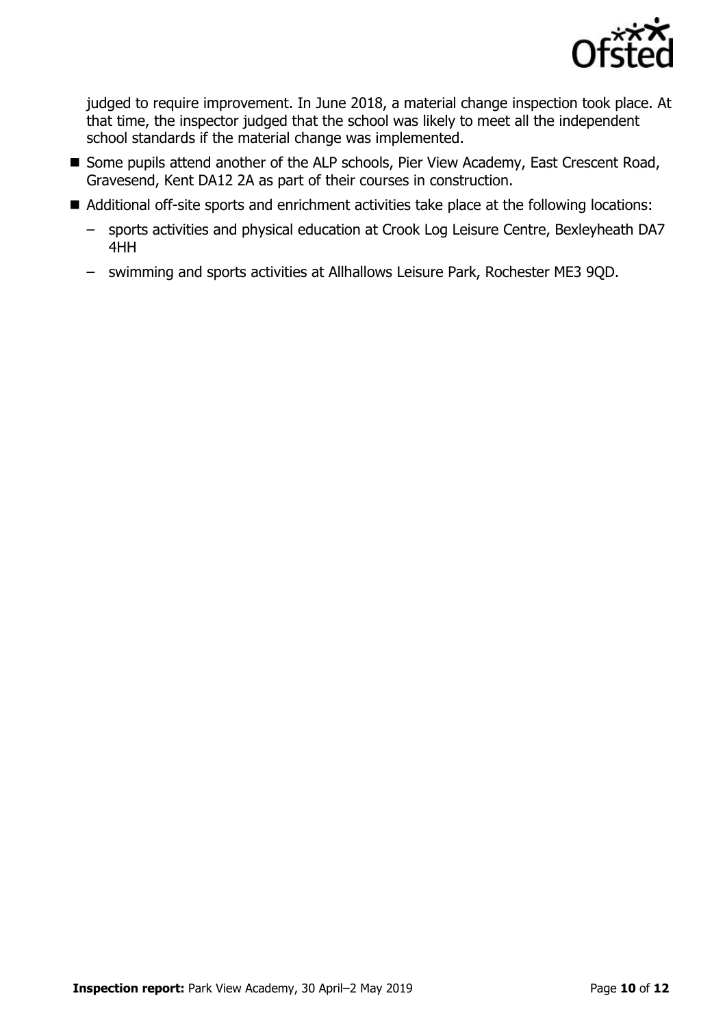

judged to require improvement. In June 2018, a material change inspection took place. At that time, the inspector judged that the school was likely to meet all the independent school standards if the material change was implemented.

- Some pupils attend another of the ALP schools, Pier View Academy, East Crescent Road, Gravesend, Kent DA12 2A as part of their courses in construction.
- Additional off-site sports and enrichment activities take place at the following locations:
	- sports activities and physical education at Crook Log Leisure Centre, Bexleyheath DA7 4HH
	- swimming and sports activities at Allhallows Leisure Park, Rochester ME3 9QD.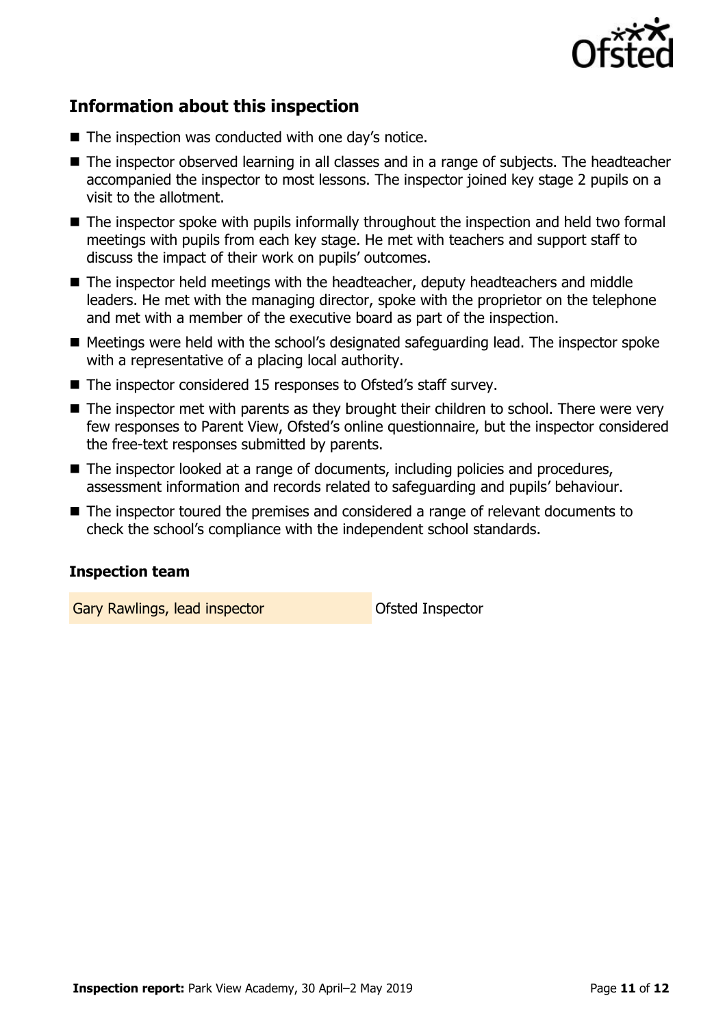

## **Information about this inspection**

- $\blacksquare$  The inspection was conducted with one day's notice.
- The inspector observed learning in all classes and in a range of subjects. The headteacher accompanied the inspector to most lessons. The inspector joined key stage 2 pupils on a visit to the allotment.
- The inspector spoke with pupils informally throughout the inspection and held two formal meetings with pupils from each key stage. He met with teachers and support staff to discuss the impact of their work on pupils' outcomes.
- The inspector held meetings with the headteacher, deputy headteachers and middle leaders. He met with the managing director, spoke with the proprietor on the telephone and met with a member of the executive board as part of the inspection.
- Meetings were held with the school's designated safeguarding lead. The inspector spoke with a representative of a placing local authority.
- The inspector considered 15 responses to Ofsted's staff survey.
- The inspector met with parents as they brought their children to school. There were very few responses to Parent View, Ofsted's online questionnaire, but the inspector considered the free-text responses submitted by parents.
- The inspector looked at a range of documents, including policies and procedures, assessment information and records related to safeguarding and pupils' behaviour.
- The inspector toured the premises and considered a range of relevant documents to check the school's compliance with the independent school standards.

#### **Inspection team**

Gary Rawlings, lead inspector **Cary Constanting Constanting Constanting Constanting Constanting Constanting Const**